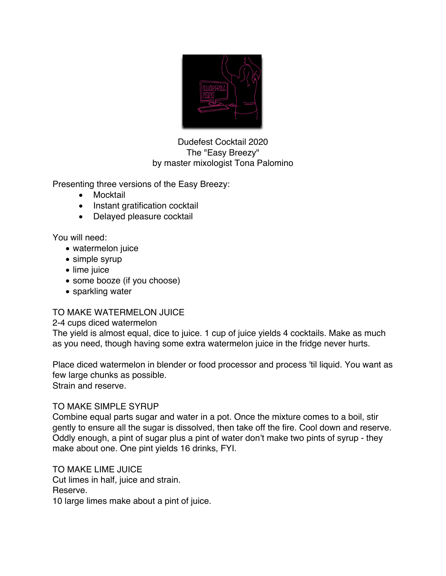

Dudefest Cocktail 2020 The "Easy Breezy" by master mixologist Tona Palomino

Presenting three versions of the Easy Breezy:

- Mocktail
- Instant gratification cocktail
- Delayed pleasure cocktail

You will need:

- watermelon juice
- simple syrup
- lime juice
- some booze (if you choose)
- sparkling water

# TO MAKE WATERMELON JUICE

2-4 cups diced watermelon

The yield is almost equal, dice to juice. 1 cup of juice yields 4 cocktails. Make as much as you need, though having some extra watermelon juice in the fridge never hurts.

Place diced watermelon in blender or food processor and process 'til liquid. You want as few large chunks as possible. Strain and reserve.

### TO MAKE SIMPLE SYRUP

Combine equal parts sugar and water in a pot. Once the mixture comes to a boil, stir gently to ensure all the sugar is dissolved, then take off the fire. Cool down and reserve. Oddly enough, a pint of sugar plus a pint of water don't make two pints of syrup - they make about one. One pint yields 16 drinks, FYI.

TO MAKE LIME JUICE Cut limes in half, juice and strain. Reserve. 10 large limes make about a pint of juice.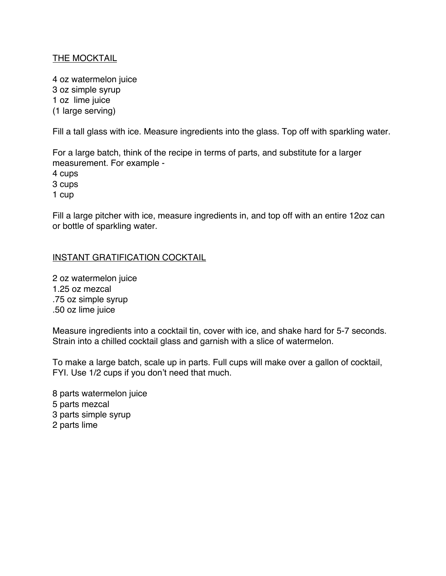## THE MOCKTAIL

4 oz watermelon juice 3 oz simple syrup 1 oz lime juice (1 large serving)

Fill a tall glass with ice. Measure ingredients into the glass. Top off with sparkling water.

For a large batch, think of the recipe in terms of parts, and substitute for a larger measurement. For example -

4 cups

3 cups

1 cup

Fill a large pitcher with ice, measure ingredients in, and top off with an entire 12oz can or bottle of sparkling water.

### INSTANT GRATIFICATION COCKTAIL

2 oz watermelon juice 1.25 oz mezcal .75 oz simple syrup .50 oz lime juice

Measure ingredients into a cocktail tin, cover with ice, and shake hard for 5-7 seconds. Strain into a chilled cocktail glass and garnish with a slice of watermelon.

To make a large batch, scale up in parts. Full cups will make over a gallon of cocktail, FYI. Use 1/2 cups if you don't need that much.

8 parts watermelon juice 5 parts mezcal 3 parts simple syrup 2 parts lime